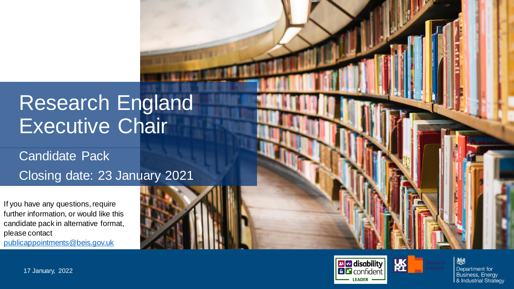### Research England Executive Chair

Candidate Pack Closing date: 23 January 2021

If you have any questions, require further information, or would like this candidate pack in alternative format, please contact [publicappointments@beis.gov.uk](mailto:publicappointments@beis.gov.uk)



Insert image (Send backwards until image appears behind title. Do not cover the footer banner.)



燃 Department for **Business, Energy** & Industrial Strategy

17 January, 2022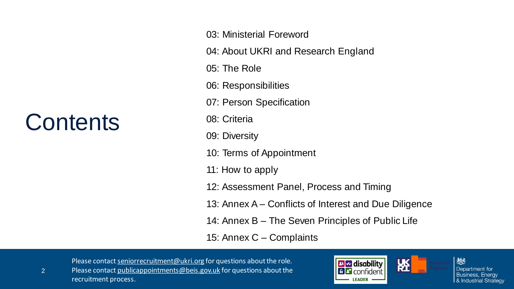### **Contents**

2

03: Ministerial Foreword

04: About UKRI and Research England

05: The Role

06: Responsibilities

07: Person Specification

08: Criteria

09: Diversity

10: Terms of Appointment

11: How to apply

12: Assessment Panel, Process and Timing

13: Annex A – Conflicts of Interest and Due Diligence

14: Annex B – The Seven Principles of Public Life

15: Annex C – Complaints

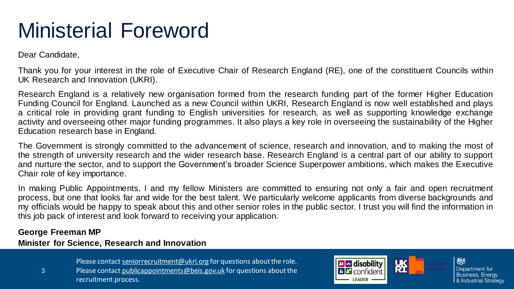### Ministerial Foreword

Dear Candidate,

Thank you for your interest in the role of Executive Chair of Research England (RE), one of the constituent Councils within UK Research and Innovation (UKRI).

Research England is a relatively new organisation formed from the research funding part of the former Higher Education Funding Council for England. Launched as a new Council within UKRI, Research England is now well established and plays a critical role in providing grant funding to English universities for research, as well as supporting knowledge exchange activity and overseeing other major funding programmes. It also plays a key role in overseeing the sustainability of the Higher Education research base in England.

The Government is strongly committed to the advancement of science, research and innovation, and to making the most of the strength of university research and the wider research base. Research England is a central part of our ability to support and nurture the sector, and to support the Government's broader Science Superpower ambitions, which makes the Executive Chair role of key importance.

In making Public Appointments, I and my fellow Ministers are committed to ensuring not only a fair and open recruitment process, but one that looks far and wide for the best talent. We particularly welcome applicants from diverse backgrounds and my officials would be happy to speak about this and other senior roles in the public sector. I trust you will find the information in this job pack of interest and look forward to receiving your application.

#### **George Freeman MP**

#### **Minister for Science, Research and Innovation**

- Please contact [seniorrecruitment@ukri.org](mailto:seniorrecruitment@ukri.org) for questions about the role.
- 3 Please contact [publicappointments@beis.gov.uk](mailto:publicappointments@beis.gov.uk) for questions about the recruitment process.

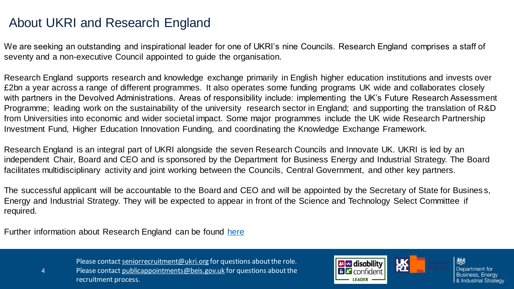### About UKRI and Research England

We are seeking an outstanding and inspirational leader for one of UKRI's nine Councils. Research England comprises a staff of seventy and a non-executive Council appointed to guide the organisation.

Research England supports research and knowledge exchange primarily in English higher education institutions and invests over £2bn a year across a range of different programmes. It also operates some funding programs UK wide and collaborates closely with partners in the Devolved Administrations. Areas of responsibility include: implementing the UK's Future Research Assessment Programme; leading work on the sustainability of the university research sector in England; and supporting the translation of R&D from Universities into economic and wider societal impact. Some major programmes include the UK wide Research Partnership Investment Fund, Higher Education Innovation Funding, and coordinating the Knowledge Exchange Framework.

Research England is an integral part of UKRI alongside the seven Research Councils and Innovate UK. UKRI is led by an independent Chair, Board and CEO and is sponsored by the Department for Business Energy and Industrial Strategy. The Board facilitates multidisciplinary activity and joint working between the Councils, Central Government, and other key partners.

The successful applicant will be accountable to the Board and CEO and will be appointed by the Secretary of State for Busines s, Energy and Industrial Strategy. They will be expected to appear in front of the Science and Technology Select Committee if required.

Further information about Research England can be found [here](https://www.ukri.org/councils/research-england/)

4

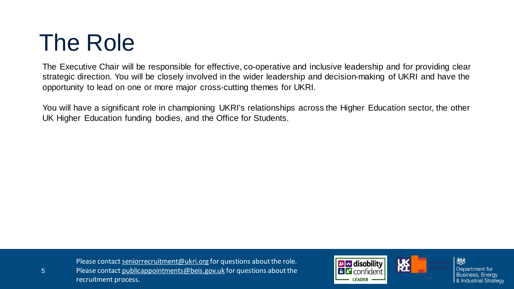### The Role

The Executive Chair will be responsible for effective, co-operative and inclusive leadership and for providing clear strategic direction. You will be closely involved in the wider leadership and decision-making of UKRI and have the opportunity to lead on one or more major cross-cutting themes for UKRI.

You will have a significant role in championing UKRI's relationships across the Higher Education sector, the other UK Higher Education funding bodies, and the Office for Students.

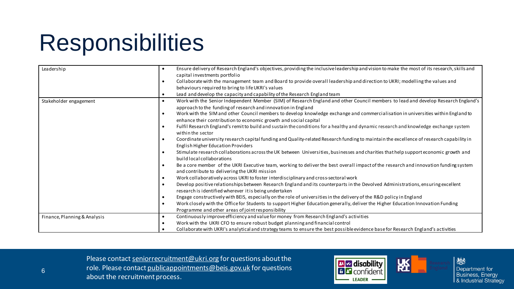### Responsibilities

| Leadership                   |           | Ensure delivery of Research England's objectives, providing the inclusive leadership and vision to make the most of its research, skills and                                           |
|------------------------------|-----------|----------------------------------------------------------------------------------------------------------------------------------------------------------------------------------------|
|                              |           | capital investments portfolio                                                                                                                                                          |
|                              |           | Collaborate with the management team and Board to provide overall leadership and direction to UKRI; modelling the values and                                                           |
|                              |           | behaviours required to bring to life UKRI's values                                                                                                                                     |
|                              | ٠         | Lead and develop the capacity and capability of the Research England team                                                                                                              |
| Stakeholder engagement       |           | Work with the Senior Independent Member (SIM) of Research England and other Council members to lead and develop Research England's                                                     |
|                              |           | approach to the funding of research and innovation in England                                                                                                                          |
|                              |           | Work with the SIM and other Council members to develop knowledge exchange and commercialisation in universities within England to                                                      |
|                              |           | enhance their contribution to economic growth and social capital                                                                                                                       |
|                              |           | Fulfil Research England's remit to build and sustain the conditions for a healthy and dynamic research and knowledge exchange system<br>within the sector                              |
|                              |           | Coordinate university research capital funding and Quality-related Research funding to maintain the excellence of research capability in                                               |
|                              |           | English Higher Education Providers                                                                                                                                                     |
|                              |           | Stimulate research collaborations across the UK between Universities, businesses and charities that help support economic growth and<br>build local collaborations                     |
|                              |           | Be a core member of the UKRI Executive team, working to deliver the best overall impact of the research and innovation funding system<br>and contribute to delivering the UKRI mission |
|                              | $\bullet$ | Work collaboratively across UKRI to foster interdisciplinary and cross-sectoral work                                                                                                   |
|                              |           | Develop positive relationships between Research England and its counterparts in the Devolved Administrations, ensuring excellent                                                       |
|                              |           | research is identified wherever it is being undertaken                                                                                                                                 |
|                              |           | Engage constructively with BEIS, especially on the role of universities in the delivery of the R&D policy in England                                                                   |
|                              | $\bullet$ | Work closely with the Office for Students to support Higher Education generally, deliver the Higher Education Innovation Funding                                                       |
|                              |           | Programme and other areas of joint responsibility                                                                                                                                      |
| Finance, Planning & Analysis | $\bullet$ | Continuously improve efficiency and value for money from Research England's activities                                                                                                 |
|                              |           | Work with the UKRI CFO to ensure robust budget planning and financial control                                                                                                          |
|                              |           | Collaborate with UKRI's analytical and strategy teams to ensure the best possible evidence base for Research England's activities                                                      |

Please contact [seniorrecruitment@ukri.org](mailto:seniorrecruitment@ukri.org) for questions about the role. Please contact [publicappointments@beis.gov.uk](mailto:publicappointments@beis.gov.uk) for questions about the recruitment process.



6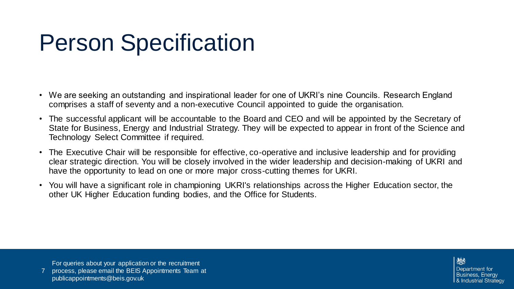### Person Specification

- We are seeking an outstanding and inspirational leader for one of UKRI's nine Councils. Research England comprises a staff of seventy and a non-executive Council appointed to guide the organisation.
- The successful applicant will be accountable to the Board and CEO and will be appointed by the Secretary of State for Business, Energy and Industrial Strategy. They will be expected to appear in front of the Science and Technology Select Committee if required.
- The Executive Chair will be responsible for effective, co-operative and inclusive leadership and for providing clear strategic direction. You will be closely involved in the wider leadership and decision-making of UKRI and have the opportunity to lead on one or more major cross-cutting themes for UKRI.
- You will have a significant role in championing UKRI's relationships across the Higher Education sector, the other UK Higher Education funding bodies, and the Office for Students.

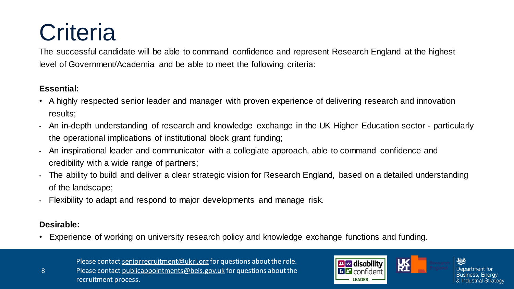## **Criteria**

The successful candidate will be able to command confidence and represent Research England at the highest level of Government/Academia and be able to meet the following criteria:

#### **Essential:**

- A highly respected senior leader and manager with proven experience of delivering research and innovation results;
- An in-depth understanding of research and knowledge exchange in the UK Higher Education sector particularly the operational implications of institutional block grant funding;
- An inspirational leader and communicator with a collegiate approach, able to command confidence and credibility with a wide range of partners;
- The ability to build and deliver a clear strategic vision for Research England, based on a detailed understanding of the landscape;
- Flexibility to adapt and respond to major developments and manage risk.

#### **Desirable:**

8

• Experience of working on university research policy and knowledge exchange functions and funding.

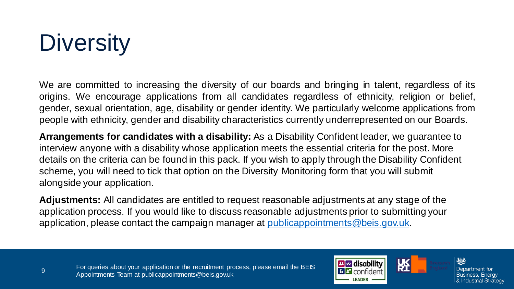## **Diversity**

We are committed to increasing the diversity of our boards and bringing in talent, regardless of its origins. We encourage applications from all candidates regardless of ethnicity, religion or belief, gender, sexual orientation, age, disability or gender identity. We particularly welcome applications from people with ethnicity, gender and disability characteristics currently underrepresented on our Boards.

**Arrangements for candidates with a disability:** As a Disability Confident leader, we guarantee to interview anyone with a disability whose application meets the essential criteria for the post. More details on the criteria can be found in this pack. If you wish to apply through the Disability Confident scheme, you will need to tick that option on the Diversity Monitoring form that you will submit alongside your application.

**Adjustments:** All candidates are entitled to request reasonable adjustments at any stage of the application process. If you would like to discuss reasonable adjustments prior to submitting your application, please contact the campaign manager at [publicappointments@beis.gov.uk.](mailto:publicappointments@beis.gov.uk)



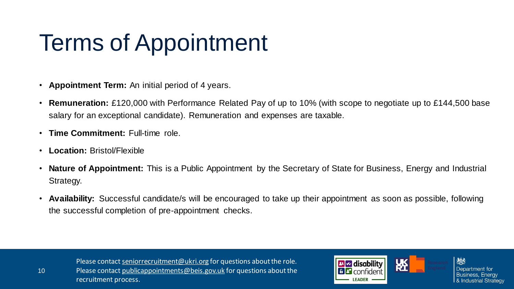### Terms of Appointment

- **Appointment Term:** An initial period of 4 years.
- **Remuneration:** £120,000 with Performance Related Pay of up to 10% (with scope to negotiate up to £144,500 base salary for an exceptional candidate). Remuneration and expenses are taxable.
- **Time Commitment:** Full-time role.
- **Location:** Bristol/Flexible
- **Nature of Appointment:** This is a Public Appointment by the Secretary of State for Business, Energy and Industrial Strategy.
- **Availability:** Successful candidate/s will be encouraged to take up their appointment as soon as possible, following the successful completion of pre-appointment checks.

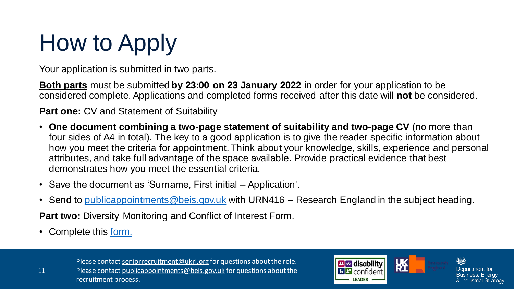# How to Apply

Your application is submitted in two parts.

**Both parts** must be submitted **by 23:00 on 23 January 2022** in order for your application to be considered complete. Applications and completed forms received after this date will **not** be considered.

**Part one: CV and Statement of Suitability** 

- **One document combining a two-page statement of suitability and two-page CV** (no more than four sides of A4 in total). The key to a good application is to give the reader specific information about how you meet the criteria for appointment. Think about your knowledge, skills, experience and personal attributes, and take full advantage of the space available. Provide practical evidence that best demonstrates how you meet the essential criteria.
- Save the document as 'Surname, First initial Application'.
- Send to [publicappointments@beis.gov.uk](mailto:publicappointments@beis.gov.uk) with URN416 Research England in the subject heading.

**Part two:** Diversity Monitoring and Conflict of Interest Form.

• Complete this [form.](https://forms.office.com/Pages/ResponsePage.aspx?id=BXCsy8EC60O0l-ZJLRst2ORvFzRetblAskMEp54TrWtUN1k5VVhQWjM4Ujg0REdLMVJINjJWNUxHNS4u)

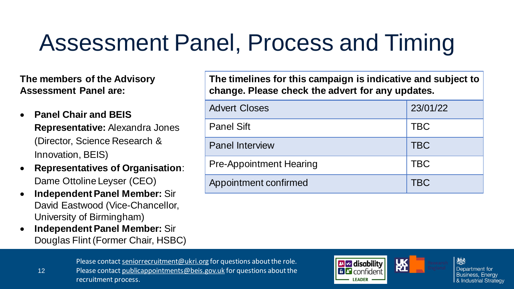## Assessment Panel, Process and Timing

**The members of the Advisory Assessment Panel are:**

- **Panel Chair and BEIS Representative:** Alexandra Jones (Director, Science Research & Innovation, BEIS)
- **Representatives of Organisation**: Dame Ottoline Leyser (CEO)
- **Independent Panel Member:** Sir David Eastwood (Vice-Chancellor, University of Birmingham)
- **Independent Panel Member:** Sir Douglas Flint (Former Chair, HSBC)

12

**The timelines for this campaign is indicative and subject to change. Please check the advert for any updates.**

| <b>Advert Closes</b>           | 23/01/22   |
|--------------------------------|------------|
| <b>Panel Sift</b>              | <b>TBC</b> |
| <b>Panel Interview</b>         | <b>TBC</b> |
| <b>Pre-Appointment Hearing</b> | <b>TBC</b> |
| Appointment confirmed          | <b>TBC</b> |

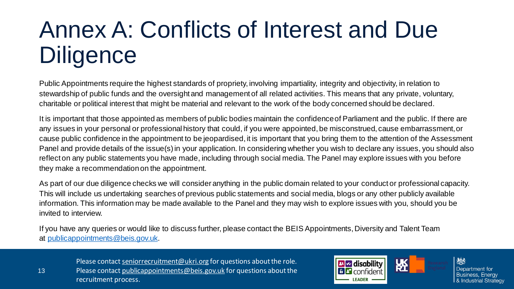### Annex A: Conflicts of Interest and Due **Diligence**

Public Appointments require the highest standards of propriety, involving impartiality, integrity and objectivity, in relation to stewardship of public funds and the oversight and management of all related activities. This means that any private, voluntary, charitable or political interest that might be material and relevant to the work of the body concerned should be declared.

It is important that those appointed as members of public bodies maintain the confidenceof Parliament and the public. If there are any issues in your personal or professional history that could, if you were appointed, be misconstrued, cause embarrassment, or cause public confidence in the appointment to be jeopardised, it is important that you bring them to the attention of the Assessment Panel and provide details of the issue(s) in your application. In considering whether you wish to declare any issues, you should also reflect on any public statements you have made, including through social media. The Panel may explore issues with you before they make a recommendation on the appointment.

As part of our due diligence checks we will consider anything in the public domain related to your conduct or professional capacity. This will include us undertaking searches of previous public statements and social media, blogs or any other publicly available information. This information may be made available to the Panel and they may wish to explore issues with you, should you be invited to interview.

If you have any queries or would like to discuss further, please contact the BEIS Appointments, Diversity and Talent Team at [publicappointments@beis.gov.uk.](mailto:publicappointments@beis.gov.uk)

13

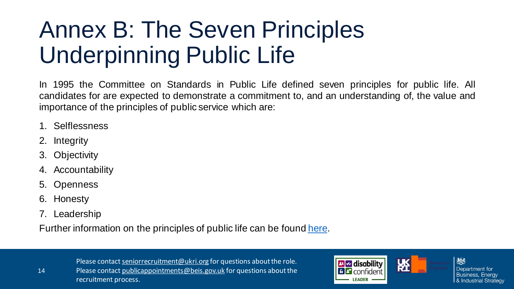### Annex B: The Seven Principles Underpinning Public Life

In 1995 the Committee on Standards in Public Life defined seven principles for public life. All candidates for are expected to demonstrate a commitment to, and an understanding of, the value and importance of the principles of public service which are:

- 1. Selflessness
- 2. Integrity
- 3. Objectivity
- 4. Accountability
- 5. Openness
- 6. Honesty
- 7. Leadership

Further information on the principles of public life can be found [here.](https://www.gov.uk/government/publications/the-7-principles-of-public-life)